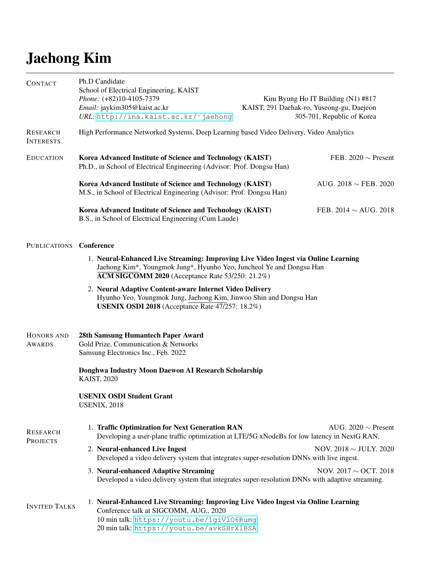## Jaehong Kim

| <b>CONTACT</b>                      | Ph.D Candidate<br>School of Electrical Engineering, KAIST<br>Phone: (+82)10-4105-7379<br>Email: jaykim305@kaist.ac.kr<br>URL: http://ina.kaist.ac.kr/~jaehong                                                          | Kim Byung Ho IT Building (N1) #817<br>KAIST, 291 Daehak-ro, Yuseong-gu, Daejeon<br>305-701, Republic of Korea |  |
|-------------------------------------|------------------------------------------------------------------------------------------------------------------------------------------------------------------------------------------------------------------------|---------------------------------------------------------------------------------------------------------------|--|
| <b>RESEARCH</b><br><b>INTERESTS</b> | High Performance Networked Systems, Deep Learning based Video Delivery, Video Analytics                                                                                                                                |                                                                                                               |  |
| <b>EDUCATION</b>                    | Korea Advanced Institute of Science and Technology (KAIST)<br>Ph.D., in School of Electrical Engineering (Advisor: Prof. Dongsu Han)                                                                                   | FEB. 2020 $\sim$ Present                                                                                      |  |
|                                     | Korea Advanced Institute of Science and Technology (KAIST)<br>AUG. 2018 $\sim$ FEB. 2020<br>M.S., in School of Electrical Engineering (Advisor: Prof. Dongsu Han)                                                      |                                                                                                               |  |
|                                     | Korea Advanced Institute of Science and Technology (KAIST)<br>B.S., in School of Electrical Engineering (Cum Laude)                                                                                                    | FEB. 2014 $\sim$ AUG. 2018                                                                                    |  |
| PUBLICATIONS Conference             |                                                                                                                                                                                                                        |                                                                                                               |  |
|                                     | 1. Neural-Enhanced Live Streaming: Improving Live Video Ingest via Online Learning<br>Jaehong Kim*, Youngmok Jung*, Hyunho Yeo, Juncheol Ye and Dongsu Han<br>ACM SIGCOMM 2020 (Acceptance Rate 53/250: 21.2%)         |                                                                                                               |  |
|                                     | 2. Neural Adaptive Content-aware Internet Video Delivery<br>Hyunho Yeo, Youngmok Jung, Jaehong Kim, Jinwoo Shin and Dongsu Han<br><b>USENIX OSDI 2018</b> (Acceptance Rate 47/257: 18.2%)                              |                                                                                                               |  |
| HONORS AND<br><b>AWARDS</b>         | 28th Samsung Humantech Paper Award<br>Gold Prize, Communication & Networks<br>Samsung Electronics Inc., Feb. 2022                                                                                                      |                                                                                                               |  |
|                                     | Donghwa Industry Moon Daewon AI Research Scholarship<br><b>KAIST, 2020</b>                                                                                                                                             |                                                                                                               |  |
|                                     | <b>USENIX OSDI Student Grant</b><br><b>USENIX, 2018</b>                                                                                                                                                                |                                                                                                               |  |
| <b>RESEARCH</b><br><b>PROJECTS</b>  | 1. Traffic Optimization for Next Generation RAN<br>Developing a user-plane traffic optimization at LTE/5G xNodeBs for low latency in NextG RAN.                                                                        | AUG. 2020 $\sim$ Present                                                                                      |  |
|                                     | 2. Neural-enhanced Live Ingest<br>Developed a video delivery system that integrates super-resolution DNNs with live ingest.                                                                                            | NOV. 2018 $\sim$ JULY. 2020                                                                                   |  |
|                                     | 3. Neural-enhanced Adaptive Streaming<br>Developed a video delivery system that integrates super-resolution DNNs with adaptive streaming.                                                                              | NOV. $2017 \sim$ OCT. 2018                                                                                    |  |
| <b>INVITED TALKS</b>                | 1. Neural-Enhanced Live Streaming: Improving Live Video Ingest via Online Learning<br>Conference talk at SIGCOMM, AUG., 2020<br>10 min talk: https://youtu.be/1giVl06Rumg<br>20 min talk: https://youtu.be/avkSHrX1BSA |                                                                                                               |  |